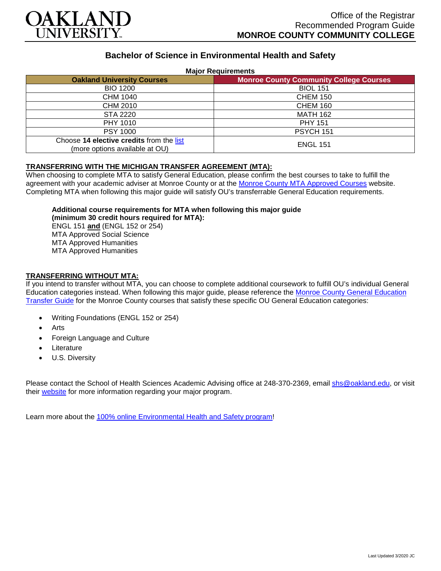

# **Bachelor of Science in Environmental Health and Safety**

### **Major Requirements**

| <b>Oakland University Courses</b>                                          | <b>Monroe County Community College Courses</b> |
|----------------------------------------------------------------------------|------------------------------------------------|
| <b>BIO 1200</b>                                                            | <b>BIOL 151</b>                                |
| CHM 1040                                                                   | <b>CHEM 150</b>                                |
| CHM 2010                                                                   | <b>CHEM 160</b>                                |
| STA 2220                                                                   | <b>MATH 162</b>                                |
| PHY 1010                                                                   | <b>PHY 151</b>                                 |
| <b>PSY 1000</b>                                                            | <b>PSYCH 151</b>                               |
| Choose 14 elective credits from the list<br>(more options available at OU) | <b>ENGL 151</b>                                |

## **TRANSFERRING WITH THE MICHIGAN TRANSFER AGREEMENT (MTA):**

When choosing to complete MTA to satisfy General Education, please confirm the best courses to take to fulfill the agreement with your academic adviser at Monroe County or at the [Monroe County MTA Approved Courses](https://www.monroeccc.edu/transfer/michigan-transfer-agreement) website. Completing MTA when following this major guide will satisfy OU's transferrable General Education requirements.

#### **Additional course requirements for MTA when following this major guide (minimum 30 credit hours required for MTA):**

ENGL 151 **and** (ENGL 152 or 254) MTA Approved Social Science MTA Approved Humanities MTA Approved Humanities

### **TRANSFERRING WITHOUT MTA:**

If you intend to transfer without MTA, you can choose to complete additional coursework to fulfill OU's individual General Education categories instead. When following this major guide, please reference the [Monroe County General Education](https://www.oakland.edu/Assets/Oakland/program-guides/monroe-county-community-college/university-general-education-requirements/Monroe%20County%20Gen%20Ed.pdf)  [Transfer Guide](https://www.oakland.edu/Assets/Oakland/program-guides/monroe-county-community-college/university-general-education-requirements/Monroe%20County%20Gen%20Ed.pdf) for the Monroe County courses that satisfy these specific OU General Education categories:

- Writing Foundations (ENGL 152 or 254)
- **Arts**
- Foreign Language and Culture
- **Literature**
- U.S. Diversity

Please contact the School of Health Sciences Academic Advising office at 248-370-2369, email [shs@oakland.edu,](mailto:shs@oakland.edu) or visit their [website](http://www.oakland.edu/shs/advising) for more information regarding your major program.

Learn more about the [100% online Environmental Health and Safety program!](https://www.oakland.edu/online/undergraduate-degree-programs/ehs/)